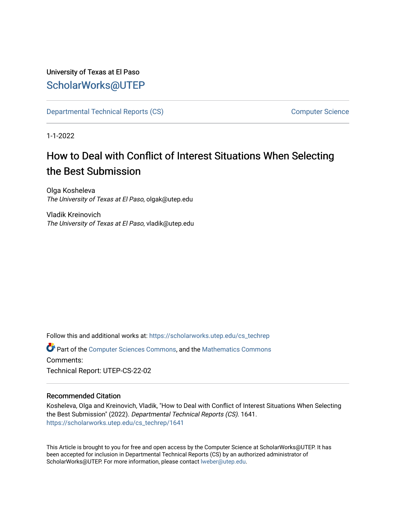# University of Texas at El Paso [ScholarWorks@UTEP](https://scholarworks.utep.edu/)

[Departmental Technical Reports \(CS\)](https://scholarworks.utep.edu/cs_techrep) [Computer Science](https://scholarworks.utep.edu/computer) 

1-1-2022

# How to Deal with Conflict of Interest Situations When Selecting the Best Submission

Olga Kosheleva The University of Texas at El Paso, olgak@utep.edu

Vladik Kreinovich The University of Texas at El Paso, vladik@utep.edu

Follow this and additional works at: [https://scholarworks.utep.edu/cs\\_techrep](https://scholarworks.utep.edu/cs_techrep?utm_source=scholarworks.utep.edu%2Fcs_techrep%2F1641&utm_medium=PDF&utm_campaign=PDFCoverPages)  Part of the [Computer Sciences Commons](http://network.bepress.com/hgg/discipline/142?utm_source=scholarworks.utep.edu%2Fcs_techrep%2F1641&utm_medium=PDF&utm_campaign=PDFCoverPages), and the [Mathematics Commons](http://network.bepress.com/hgg/discipline/174?utm_source=scholarworks.utep.edu%2Fcs_techrep%2F1641&utm_medium=PDF&utm_campaign=PDFCoverPages) 

Comments:

Technical Report: UTEP-CS-22-02

## Recommended Citation

Kosheleva, Olga and Kreinovich, Vladik, "How to Deal with Conflict of Interest Situations When Selecting the Best Submission" (2022). Departmental Technical Reports (CS). 1641. [https://scholarworks.utep.edu/cs\\_techrep/1641](https://scholarworks.utep.edu/cs_techrep/1641?utm_source=scholarworks.utep.edu%2Fcs_techrep%2F1641&utm_medium=PDF&utm_campaign=PDFCoverPages) 

This Article is brought to you for free and open access by the Computer Science at ScholarWorks@UTEP. It has been accepted for inclusion in Departmental Technical Reports (CS) by an authorized administrator of ScholarWorks@UTEP. For more information, please contact [lweber@utep.edu](mailto:lweber@utep.edu).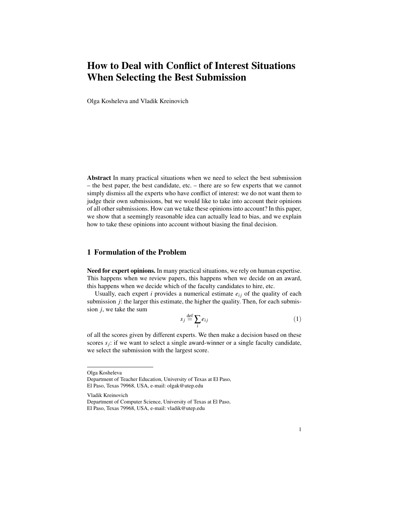# How to Deal with Conflict of Interest Situations When Selecting the Best Submission

Olga Kosheleva and Vladik Kreinovich

Abstract In many practical situations when we need to select the best submission – the best paper, the best candidate, etc. – there are so few experts that we cannot simply dismiss all the experts who have conflict of interest: we do not want them to judge their own submissions, but we would like to take into account their opinions of all other submissions. How can we take these opinions into account? In this paper, we show that a seemingly reasonable idea can actually lead to bias, and we explain how to take these opinions into account without biasing the final decision.

### 1 Formulation of the Problem

Need for expert opinions. In many practical situations, we rely on human expertise. This happens when we review papers, this happens when we decide on an award, this happens when we decide which of the faculty candidates to hire, etc.

Usually, each expert  $i$  provides a numerical estimate  $e_{ij}$  of the quality of each submission *j*: the larger this estimate, the higher the quality. Then, for each submission *j*, we take the sum

$$
s_j \stackrel{\text{def}}{=} \sum_i e_{ij} \tag{1}
$$

of all the scores given by different experts. We then make a decision based on these scores  $s_j$ : if we want to select a single award-winner or a single faculty candidate, we select the submission with the largest score.

Vladik Kreinovich

Olga Kosheleva

Department of Teacher Education, University of Texas at El Paso, El Paso, Texas 79968, USA, e-mail: olgak@utep.edu

Department of Computer Science, University of Texas at El Paso, El Paso, Texas 79968, USA, e-mail: vladik@utep.edu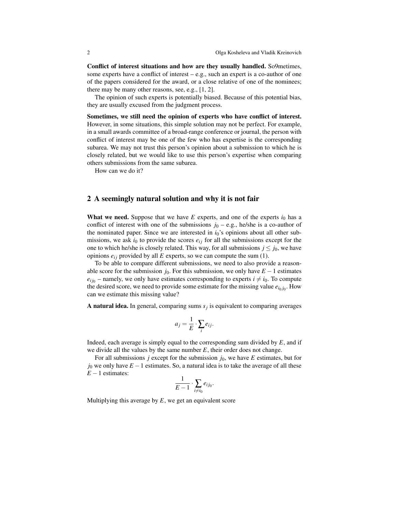Conflict of interest situations and how are they usually handled. So9metimes, some experts have a conflict of interest – e.g., such an expert is a co-author of one of the papers considered for the award, or a close relative of one of the nominees; there may be many other reasons, see, e.g., [1, 2].

The opinion of such experts is potentially biased. Because of this potential bias, they are usually excused from the judgment process.

Sometimes, we still need the opinion of experts who have conflict of interest. However, in some situations, this simple solution may not be perfect. For example, in a small awards committee of a broad-range conference or journal, the person with conflict of interest may be one of the few who has expertise is the corresponding subarea. We may not trust this person's opinion about a submission to which he is closely related, but we would like to use this person's expertise when comparing others submissions from the same subarea.

How can we do it?

#### 2 A seemingly natural solution and why it is not fair

What we need. Suppose that we have  $E$  experts, and one of the experts  $i_0$  has a conflict of interest with one of the submissions  $j_0 - e.g.,$  he/she is a co-author of the nominated paper. Since we are interested in  $i<sub>0</sub>$ 's opinions about all other submissions, we ask  $i_0$  to provide the scores  $e_{ij}$  for all the submissions except for the one to which he/she is closely related. This way, for all submissions  $j \leq j_0$ , we have opinions  $e_{ij}$  provided by all  $E$  experts, so we can compute the sum (1).

To be able to compare different submissions, we need to also provide a reasonable score for the submission *j*<sub>0</sub>. For this submission, we only have  $E - 1$  estimates  $e_{ij_0}$  – namely, we only have estimates corresponding to experts  $i \neq i_0$ . To compute the desired score, we need to provide some estimate for the missing value  $e_{i_0 j_0}$ . How can we estimate this missing value?

A natural idea. In general, comparing sums *s<sup>j</sup>* is equivalent to comparing averages

$$
a_j = \frac{1}{E} \cdot \sum_i e_{ij}.
$$

Indeed, each average is simply equal to the corresponding sum divided by *E*, and if we divide all the values by the same number *E*, their order does not change.

For all submissions *j* except for the submission  $j_0$ , we have *E* estimates, but for  $j_0$  we only have  $E - 1$  estimates. So, a natural idea is to take the average of all these *E* − 1 estimates:

$$
\frac{1}{E-1} \cdot \sum_{i \neq i_0} e_{ij_0}.
$$

Multiplying this average by *E*, we get an equivalent score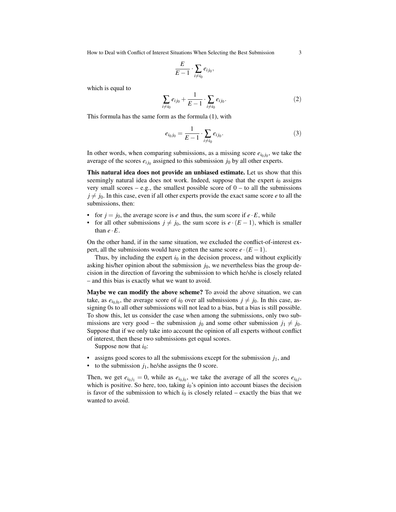How to Deal with Conflict of Interest Situations When Selecting the Best Submission 3

$$
\frac{E}{E-1} \cdot \sum_{i \neq i_0} e_{ij_0},
$$

which is equal to

$$
\sum_{i \neq i_0} e_{ij_0} + \frac{1}{E - 1} \cdot \sum_{i \neq i_0} e_{ij_0}.
$$
 (2)

This formula has the same form as the formula (1), with

$$
e_{i_0 j_0} = \frac{1}{E - 1} \cdot \sum_{i \neq i_0} e_{i j_0}.
$$
 (3)

In other words, when comparing submissions, as a missing score  $e_{i_0j_0}$ , we take the average of the scores  $e_{ij_0}$  assigned to this submission  $j_0$  by all other experts.

This natural idea does not provide an unbiased estimate. Let us show that this seemingly natural idea does not work. Indeed, suppose that the expert  $i_0$  assigns very small scores – e.g., the smallest possible score of  $0 -$  to all the submissions  $j \neq j_0$ . In this case, even if all other experts provide the exact same score *e* to all the submissions, then:

- for  $j = j_0$ , the average score is *e* and thus, the sum score if  $e \cdot E$ , while
- for all other submissions  $j \neq j_0$ , the sum score is  $e \cdot (E-1)$ , which is smaller than  $e \cdot E$ .

On the other hand, if in the same situation, we excluded the conflict-of-interest expert, all the submissions would have gotten the same score  $e \cdot (E - 1)$ .

Thus, by including the expert  $i_0$  in the decision process, and without explicitly asking his/her opinion about the submission  $j_0$ , we nevertheless bias the group decision in the direction of favoring the submission to which he/she is closely related – and this bias is exactly what we want to avoid.

Maybe we can modify the above scheme? To avoid the above situation, we can take, as  $e_{i_0 j_0}$ , the average score of  $i_0$  over all submissions  $j \neq j_0$ . In this case, assigning 0s to all other submissions will not lead to a bias, but a bias is still possible. To show this, let us consider the case when among the submissions, only two submissions are very good – the submission  $j_0$  and some other submission  $j_1 \neq j_0$ . Suppose that if we only take into account the opinion of all experts without conflict of interest, then these two submissions get equal scores.

Suppose now that  $i_0$ :

- assigns good scores to all the submissions except for the submission  $j_1$ , and
- to the submission  $j_1$ , he/she assigns the 0 score.

Then, we get  $e_{i_0j_1} = 0$ , while as  $e_{i_0j_0}$ , we take the average of all the scores  $e_{i_0j}$ , which is positive. So here, too, taking  $i<sub>0</sub>$ 's opinion into account biases the decision is favor of the submission to which  $i_0$  is closely related – exactly the bias that we wanted to avoid.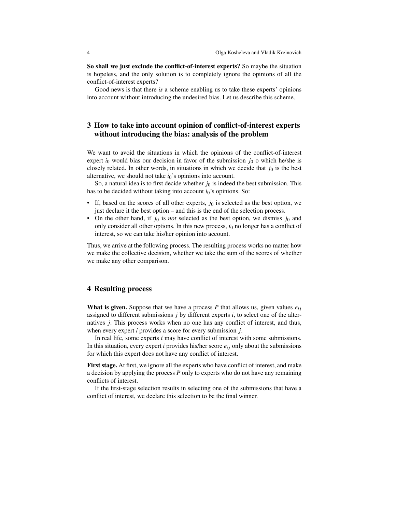So shall we just exclude the conflict-of-interest experts? So maybe the situation is hopeless, and the only solution is to completely ignore the opinions of all the conflict-of-interest experts?

Good news is that there *is* a scheme enabling us to take these experts' opinions into account without introducing the undesired bias. Let us describe this scheme.

## 3 How to take into account opinion of conflict-of-interest experts without introducing the bias: analysis of the problem

We want to avoid the situations in which the opinions of the conflict-of-interest expert  $i_0$  would bias our decision in favor of the submission  $j_0$  o which he/she is closely related. In other words, in situations in which we decide that  $j_0$  is the best alternative, we should not take  $i_0$ 's opinions into account.

So, a natural idea is to first decide whether  $j_0$  is indeed the best submission. This has to be decided without taking into account *i*<sub>0</sub>'s opinions. So:

- If, based on the scores of all other experts,  $j_0$  is selected as the best option, we just declare it the best option – and this is the end of the selection process.
- On the other hand, if  $j_0$  is *not* selected as the best option, we dismiss  $j_0$  and only consider all other options. In this new process,  $i_0$  no longer has a conflict of interest, so we can take his/her opinion into account.

Thus, we arrive at the following process. The resulting process works no matter how we make the collective decision, whether we take the sum of the scores of whether we make any other comparison.

#### 4 Resulting process

What is given. Suppose that we have a process  $P$  that allows us, given values  $e_{ij}$ assigned to different submissions *j* by different experts *i*, to select one of the alternatives *j*. This process works when no one has any conflict of interest, and thus, when every expert *i* provides a score for every submission *j*.

In real life, some experts *i* may have conflict of interest with some submissions. In this situation, every expert *i* provides his/her score  $e_{ij}$  only about the submissions for which this expert does not have any conflict of interest.

First stage. At first, we ignore all the experts who have conflict of interest, and make a decision by applying the process *P* only to experts who do not have any remaining conflicts of interest.

If the first-stage selection results in selecting one of the submissions that have a conflict of interest, we declare this selection to be the final winner.